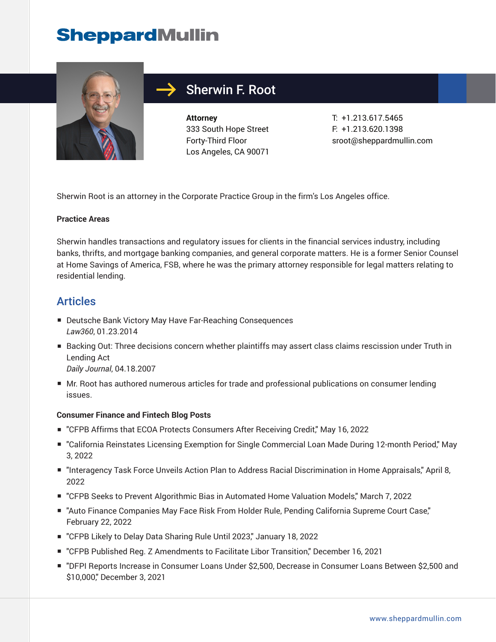

## Sherwin F. Root

**Attorney** 333 South Hope Street Forty-Third Floor Los Angeles, CA 90071

T: +1.213.617.5465 F: +1.213.620.1398 sroot@sheppardmullin.com

Sherwin Root is an attorney in the Corporate Practice Group in the firm's Los Angeles office.

#### **Practice Areas**

Sherwin handles transactions and regulatory issues for clients in the financial services industry, including banks, thrifts, and mortgage banking companies, and general corporate matters. He is a former Senior Counsel at Home Savings of America, FSB, where he was the primary attorney responsible for legal matters relating to residential lending.

#### **Articles**

- Deutsche Bank Victory May Have Far-Reaching Consequences *Law360*, 01.23.2014
- Backing Out: Three decisions concern whether plaintiffs may assert class claims rescission under Truth in Lending Act

*Daily Journal*, 04.18.2007

■ Mr. Root has authored numerous articles for trade and professional publications on consumer lending issues.

#### **Consumer Finance and Fintech Blog Posts**

- "CFPB Affirms that ECOA Protects Consumers After Receiving Credit," May 16, 2022
- "California Reinstates Licensing Exemption for Single Commercial Loan Made During 12-month Period," May 3, 2022
- "Interagency Task Force Unveils Action Plan to Address Racial Discrimination in Home Appraisals," April 8, 2022
- "CFPB Seeks to Prevent Algorithmic Bias in Automated Home Valuation Models," March 7, 2022
- "Auto Finance Companies May Face Risk From Holder Rule, Pending California Supreme Court Case," February 22, 2022
- "CFPB Likely to Delay Data Sharing Rule Until 2023," January 18, 2022
- "CFPB Published Reg. Z Amendments to Facilitate Libor Transition," December 16, 2021
- "DFPI Reports Increase in Consumer Loans Under \$2,500, Decrease in Consumer Loans Between \$2,500 and \$10,000," December 3, 2021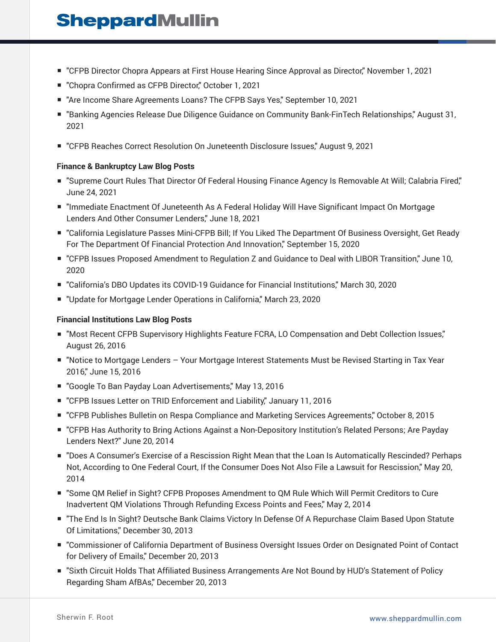- "CFPB Director Chopra Appears at First House Hearing Since Approval as Director," November 1, 2021
- "Chopra Confirmed as CFPB Director," October 1, 2021
- "Are Income Share Agreements Loans? The CFPB Says Yes," September 10, 2021
- "Banking Agencies Release Due Diligence Guidance on Community Bank-FinTech Relationships," August 31, 2021
- "CFPB Reaches Correct Resolution On Juneteenth Disclosure Issues," August 9, 2021

#### **Finance & Bankruptcy Law Blog Posts**

- "Supreme Court Rules That Director Of Federal Housing Finance Agency Is Removable At Will; Calabria Fired," June 24, 2021
- "Immediate Enactment Of Juneteenth As A Federal Holiday Will Have Significant Impact On Mortgage Lenders And Other Consumer Lenders," June 18, 2021
- "California Legislature Passes Mini-CFPB Bill; If You Liked The Department Of Business Oversight, Get Ready For The Department Of Financial Protection And Innovation," September 15, 2020
- "CFPB Issues Proposed Amendment to Regulation Z and Guidance to Deal with LIBOR Transition," June 10, 2020
- "California's DBO Updates its COVID-19 Guidance for Financial Institutions," March 30, 2020
- "Update for Mortgage Lender Operations in California," March 23, 2020

#### **Financial Institutions Law Blog Posts**

- "Most Recent CFPB Supervisory Highlights Feature FCRA, LO Compensation and Debt Collection Issues," August 26, 2016
- "Notice to Mortgage Lenders Your Mortgage Interest Statements Must be Revised Starting in Tax Year 2016," June 15, 2016
- "Google To Ban Payday Loan Advertisements," May 13, 2016
- "CFPB Issues Letter on TRID Enforcement and Liability," January 11, 2016
- "CFPB Publishes Bulletin on Respa Compliance and Marketing Services Agreements," October 8, 2015
- "CFPB Has Authority to Bring Actions Against a Non-Depository Institution's Related Persons; Are Payday Lenders Next?" June 20, 2014
- "Does A Consumer's Exercise of a Rescission Right Mean that the Loan Is Automatically Rescinded? Perhaps Not, According to One Federal Court, If the Consumer Does Not Also File a Lawsuit for Rescission," May 20, 2014
- "Some QM Relief in Sight? CFPB Proposes Amendment to QM Rule Which Will Permit Creditors to Cure Inadvertent QM Violations Through Refunding Excess Points and Fees," May 2, 2014
- "The End Is In Sight? Deutsche Bank Claims Victory In Defense Of A Repurchase Claim Based Upon Statute Of Limitations," December 30, 2013
- "Commissioner of California Department of Business Oversight Issues Order on Designated Point of Contact for Delivery of Emails," December 20, 2013
- "Sixth Circuit Holds That Affiliated Business Arrangements Are Not Bound by HUD's Statement of Policy Regarding Sham AfBAs," December 20, 2013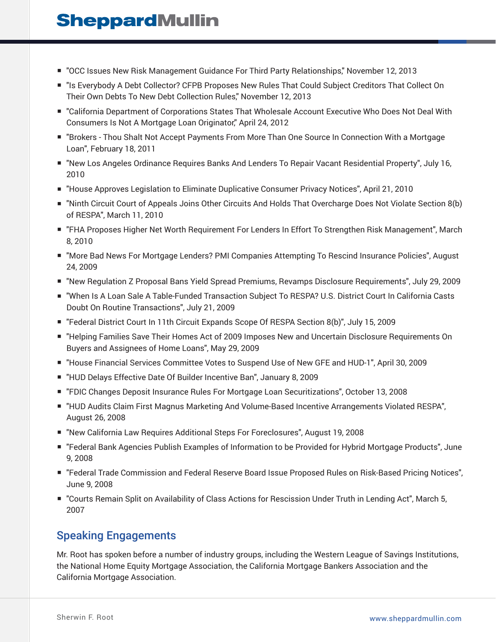- "OCC Issues New Risk Management Guidance For Third Party Relationships," November 12, 2013
- "Is Everybody A Debt Collector? CFPB Proposes New Rules That Could Subject Creditors That Collect On Their Own Debts To New Debt Collection Rules," November 12, 2013
- "California Department of Corporations States That Wholesale Account Executive Who Does Not Deal With Consumers Is Not A Mortgage Loan Originator," April 24, 2012
- "Brokers Thou Shalt Not Accept Payments From More Than One Source In Connection With a Mortgage Loan", February 18, 2011
- "New Los Angeles Ordinance Requires Banks And Lenders To Repair Vacant Residential Property", July 16, 2010
- "House Approves Legislation to Eliminate Duplicative Consumer Privacy Notices", April 21, 2010
- "Ninth Circuit Court of Appeals Joins Other Circuits And Holds That Overcharge Does Not Violate Section 8(b) of RESPA", March 11, 2010
- "FHA Proposes Higher Net Worth Requirement For Lenders In Effort To Strengthen Risk Management", March 8, 2010
- "More Bad News For Mortgage Lenders? PMI Companies Attempting To Rescind Insurance Policies", August 24, 2009
- "New Regulation Z Proposal Bans Yield Spread Premiums, Revamps Disclosure Reguirements", July 29, 2009
- "When Is A Loan Sale A Table-Funded Transaction Subject To RESPA? U.S. District Court In California Casts Doubt On Routine Transactions", July 21, 2009
- "Federal District Court In 11th Circuit Expands Scope Of RESPA Section 8(b)", July 15, 2009
- "Helping Families Save Their Homes Act of 2009 Imposes New and Uncertain Disclosure Requirements On Buyers and Assignees of Home Loans", May 29, 2009
- "House Financial Services Committee Votes to Suspend Use of New GFE and HUD-1", April 30, 2009
- "HUD Delays Effective Date Of Builder Incentive Ban", January 8, 2009
- "FDIC Changes Deposit Insurance Rules For Mortgage Loan Securitizations", October 13, 2008
- "HUD Audits Claim First Magnus Marketing And Volume-Based Incentive Arrangements Violated RESPA", August 26, 2008
- "New California Law Requires Additional Steps For Foreclosures", August 19, 2008
- "Federal Bank Agencies Publish Examples of Information to be Provided for Hybrid Mortgage Products", June 9, 2008
- "Federal Trade Commission and Federal Reserve Board Issue Proposed Rules on Risk-Based Pricing Notices", June 9, 2008
- "Courts Remain Split on Availability of Class Actions for Rescission Under Truth in Lending Act", March 5, 2007

### Speaking Engagements

Mr. Root has spoken before a number of industry groups, including the Western League of Savings Institutions, the National Home Equity Mortgage Association, the California Mortgage Bankers Association and the California Mortgage Association.